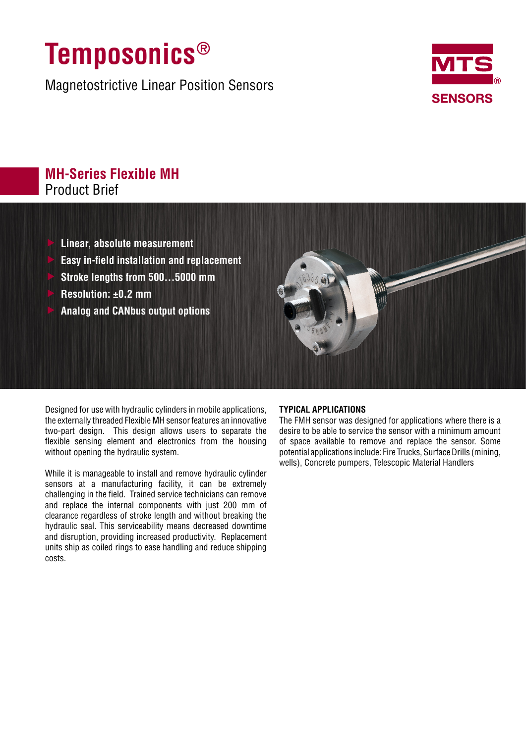## **Temposonics®**

Magnetostrictive Linear Position Sensors



## **MH-Series Flexible MH** Product Brief

- f **Linear, absolute measurement**
- f **Easy in-field installation and replacement**
- f **Stroke lengths from 500…5000 mm**
- f **Resolution: ±0.2 mm**
- f **Analog and CANbus output options**



Designed for use with hydraulic cylinders in mobile applications, the externally threaded Flexible MH sensor features an innovative two-part design. This design allows users to separate the flexible sensing element and electronics from the housing without opening the hydraulic system.

While it is manageable to install and remove hydraulic cylinder sensors at a manufacturing facility, it can be extremely challenging in the field. Trained service technicians can remove and replace the internal components with just 200 mm of clearance regardless of stroke length and without breaking the hydraulic seal. This serviceability means decreased downtime and disruption, providing increased productivity. Replacement units ship as coiled rings to ease handling and reduce shipping costs.

## **TYPICAL APPLICATIONS**

The FMH sensor was designed for applications where there is a desire to be able to service the sensor with a minimum amount of space available to remove and replace the sensor. Some potential applications include: Fire Trucks, Surface Drills (mining, wells), Concrete pumpers, Telescopic Material Handlers